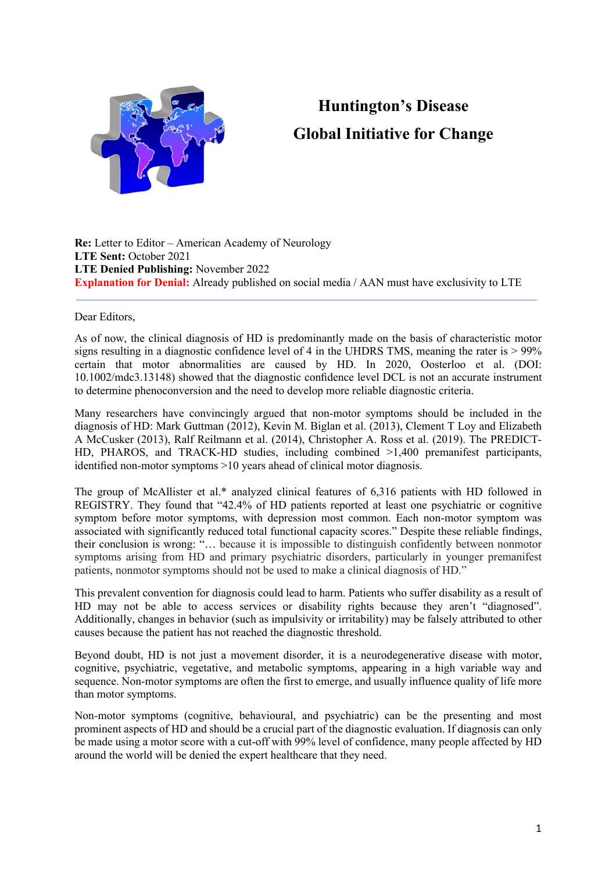

## **Huntington's Disease Global Initiative for Change**

**Re:** Letter to Editor – American Academy of Neurology **LTE Sent:** October 2021 **LTE Denied Publishing:** November 2022 **Explanation for Denial:** Already published on social media / AAN must have exclusivity to LTE

Dear Editors,

As of now, the clinical diagnosis of HD is predominantly made on the basis of characteristic motor signs resulting in a diagnostic confidence level of 4 in the UHDRS TMS, meaning the rater is  $> 99\%$ certain that motor abnormalities are caused by HD. In 2020, Oosterloo et al. (DOI: 10.1002/mdc3.13148) showed that the diagnostic confidence level DCL is not an accurate instrument to determine phenoconversion and the need to develop more reliable diagnostic criteria.

Many researchers have convincingly argued that non-motor symptoms should be included in the diagnosis of HD: Mark Guttman (2012), Kevin M. Biglan et al. (2013), Clement T Loy and Elizabeth A McCusker (2013), Ralf Reilmann et al. (2014), Christopher A. Ross et al. (2019). The PREDICT-HD, PHAROS, and TRACK-HD studies, including combined  $>1,400$  premanifest participants, identified non-motor symptoms >10 years ahead of clinical motor diagnosis.

The group of McAllister et al.\* analyzed clinical features of 6,316 patients with HD followed in REGISTRY. They found that "42.4% of HD patients reported at least one psychiatric or cognitive symptom before motor symptoms, with depression most common. Each non-motor symptom was associated with significantly reduced total functional capacity scores." Despite these reliable findings, their conclusion is wrong: "… because it is impossible to distinguish confidently between nonmotor symptoms arising from HD and primary psychiatric disorders, particularly in younger premanifest patients, nonmotor symptoms should not be used to make a clinical diagnosis of HD."

This prevalent convention for diagnosis could lead to harm. Patients who suffer disability as a result of HD may not be able to access services or disability rights because they aren't "diagnosed". Additionally, changes in behavior (such as impulsivity or irritability) may be falsely attributed to other causes because the patient has not reached the diagnostic threshold.

Beyond doubt, HD is not just a movement disorder, it is a neurodegenerative disease with motor, cognitive, psychiatric, vegetative, and metabolic symptoms, appearing in a high variable way and sequence. Non-motor symptoms are often the first to emerge, and usually influence quality of life more than motor symptoms.

Non-motor symptoms (cognitive, behavioural, and psychiatric) can be the presenting and most prominent aspects of HD and should be a crucial part of the diagnostic evaluation. If diagnosis can only be made using a motor score with a cut-off with 99% level of confidence, many people affected by HD around the world will be denied the expert healthcare that they need.